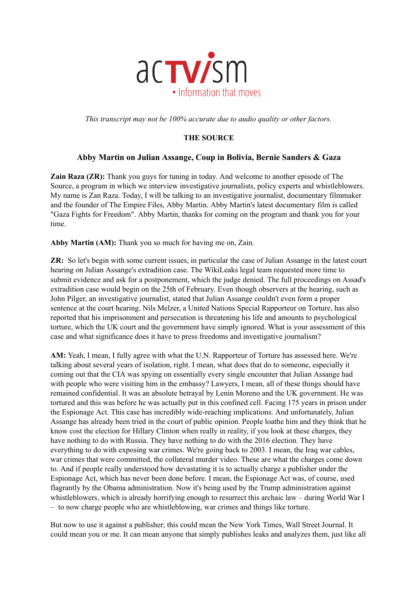

*This transcript may not be 100% accurate due to audio quality or other factors.*

## **THE SOURCE**

## **Abby Martin on Julian Assange, Coup in Bolivia, Bernie Sanders & Gaza**

**Zain Raza (ZR):** Thank you guys for tuning in today. And welcome to another episode of The Source, a program in which we interview investigative journalists, policy experts and whistleblowers. My name is Zan Raza. Today, I will be talking to an investigative journalist, documentary filmmaker and the founder of The Empire Files, Abby Martin. Abby Martin's latest documentary film is called "Gaza Fights for Freedom". Abby Martin, thanks for coming on the program and thank you for your time.

**Abby Martin (AM):** Thank you so much for having me on, Zain.

**ZR:** So let's begin with some current issues, in particular the case of Julian Assange in the latest court hearing on Julian Assange's extradition case. The WikiLeaks legal team requested more time to submit evidence and ask for a postponement, which the judge denied. The full proceedings on Assad's extradition case would begin on the 25th of February. Even though observers at the hearing, such as John Pilger, an investigative journalist, stated that Julian Assange couldn't even form a proper sentence at the court hearing. Nils Melzer, a United Nations Special Rapporteur on Torture, has also reported that his imprisonment and persecution is threatening his life and amounts to psychological torture, which the UK court and the government have simply ignored. What is your assessment of this case and what significance does it have to press freedoms and investigative journalism?

**AM:** Yeah, I mean, I fully agree with what the U.N. Rapporteur of Torture has assessed here. We're talking about several years of isolation, right. I mean, what does that do to someone, especially it coming out that the CIA was spying on essentially every single encounter that Julian Assange had with people who were visiting him in the embassy? Lawyers, I mean, all of these things should have remained confidential. It was an absolute betrayal by Lenin Moreno and the UK government. He was tortured and this was before he was actually put in this confined cell. Facing 175 years in prison under the Espionage Act. This case has incredibly wide-reaching implications. And unfortunately, Julian Assange has already been tried in the court of public opinion. People loathe him and they think that he know cost the election for Hillary Clinton when really in reality, if you look at these charges, they have nothing to do with Russia. They have nothing to do with the 2016 election. They have everything to do with exposing war crimes. We're going back to 2003. I mean, the Iraq war cables, war crimes that were committed, the collateral murder video. These are what the charges come down to. And if people really understood how devastating it is to actually charge a publisher under the Espionage Act, which has never been done before. I mean, the Espionage Act was, of course, used flagrantly by the Obama administration. Now it's being used by the Trump administration against whistleblowers, which is already horrifying enough to resurrect this archaic law – during World War I – to now charge people who are whistleblowing, war crimes and things like torture.

But now to use it against a publisher; this could mean the New York Times, Wall Street Journal. It could mean you or me. It can mean anyone that simply publishes leaks and analyzes them, just like all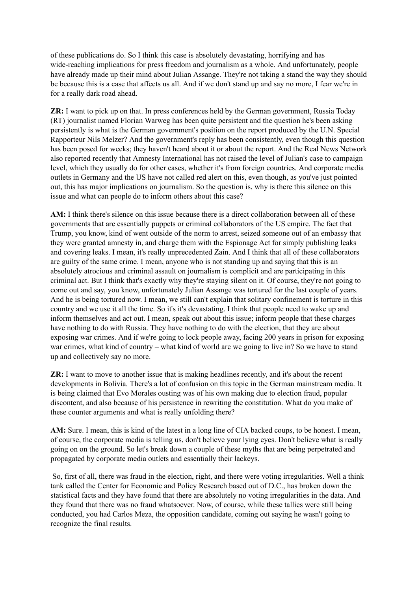of these publications do. So I think this case is absolutely devastating, horrifying and has wide-reaching implications for press freedom and journalism as a whole. And unfortunately, people have already made up their mind about Julian Assange. They're not taking a stand the way they should be because this is a case that affects us all. And if we don't stand up and say no more, I fear we're in for a really dark road ahead.

**ZR:** I want to pick up on that. In press conferences held by the German government, Russia Today (RT) journalist named Florian Warweg has been quite persistent and the question he's been asking persistently is what is the German government's position on the report produced by the U.N. Special Rapporteur Nils Melzer? And the government's reply has been consistently, even though this question has been posed for weeks; they haven't heard about it or about the report. And the Real News Network also reported recently that Amnesty International has not raised the level of Julian's case to campaign level, which they usually do for other cases, whether it's from foreign countries. And corporate media outlets in Germany and the US have not called red alert on this, even though, as you've just pointed out, this has major implications on journalism. So the question is, why is there this silence on this issue and what can people do to inform others about this case?

**AM:** I think there's silence on this issue because there is a direct collaboration between all of these governments that are essentially puppets or criminal collaborators of the US empire. The fact that Trump, you know, kind of went outside of the norm to arrest, seized someone out of an embassy that they were granted amnesty in, and charge them with the Espionage Act for simply publishing leaks and covering leaks. I mean, it's really unprecedented Zain. And I think that all of these collaborators are guilty of the same crime. I mean, anyone who is not standing up and saying that this is an absolutely atrocious and criminal assault on journalism is complicit and are participating in this criminal act. But I think that's exactly why they're staying silent on it. Of course, they're not going to come out and say, you know, unfortunately Julian Assange was tortured for the last couple of years. And he is being tortured now. I mean, we still can't explain that solitary confinement is torture in this country and we use it all the time. So it's it's devastating. I think that people need to wake up and inform themselves and act out. I mean, speak out about this issue; inform people that these charges have nothing to do with Russia. They have nothing to do with the election, that they are about exposing war crimes. And if we're going to lock people away, facing 200 years in prison for exposing war crimes, what kind of country – what kind of world are we going to live in? So we have to stand up and collectively say no more.

**ZR:** I want to move to another issue that is making headlines recently, and it's about the recent developments in Bolivia. There's a lot of confusion on this topic in the German mainstream media. It is being claimed that Evo Morales ousting was of his own making due to election fraud, popular discontent, and also because of his persistence in rewriting the constitution. What do you make of these counter arguments and what is really unfolding there?

**AM:** Sure. I mean, this is kind of the latest in a long line of CIA backed coups, to be honest. I mean, of course, the corporate media is telling us, don't believe your lying eyes. Don't believe what is really going on on the ground. So let's break down a couple of these myths that are being perpetrated and propagated by corporate media outlets and essentially their lackeys.

So, first of all, there was fraud in the election, right, and there were voting irregularities. Well a think tank called the Center for Economic and Policy Research based out of D.C., has broken down the statistical facts and they have found that there are absolutely no voting irregularities in the data. And they found that there was no fraud whatsoever. Now, of course, while these tallies were still being conducted, you had Carlos Meza, the opposition candidate, coming out saying he wasn't going to recognize the final results.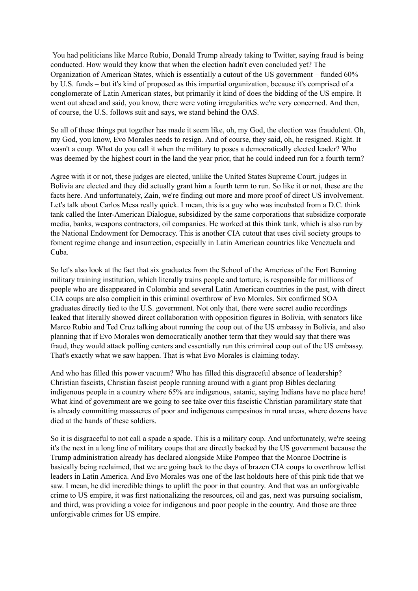You had politicians like Marco Rubio, Donald Trump already taking to Twitter, saying fraud is being conducted. How would they know that when the election hadn't even concluded yet? The Organization of American States, which is essentially a cutout of the US government – funded 60% by U.S. funds – but it's kind of proposed as this impartial organization, because it's comprised of a conglomerate of Latin American states, but primarily it kind of does the bidding of the US empire. It went out ahead and said, you know, there were voting irregularities we're very concerned. And then, of course, the U.S. follows suit and says, we stand behind the OAS.

So all of these things put together has made it seem like, oh, my God, the election was fraudulent. Oh, my God, you know, Evo Morales needs to resign. And of course, they said, oh, he resigned. Right. It wasn't a coup. What do you call it when the military to poses a democratically elected leader? Who was deemed by the highest court in the land the year prior, that he could indeed run for a fourth term?

Agree with it or not, these judges are elected, unlike the United States Supreme Court, judges in Bolivia are elected and they did actually grant him a fourth term to run. So like it or not, these are the facts here. And unfortunately, Zain, we're finding out more and more proof of direct US involvement. Let's talk about Carlos Mesa really quick. I mean, this is a guy who was incubated from a D.C. think tank called the Inter-American Dialogue, subsidized by the same corporations that subsidize corporate media, banks, weapons contractors, oil companies. He worked at this think tank, which is also run by the National Endowment for Democracy. This is another CIA cutout that uses civil society groups to foment regime change and insurrection, especially in Latin American countries like Venezuela and Cuba.

So let's also look at the fact that six graduates from the School of the Americas of the Fort Benning military training institution, which literally trains people and torture, is responsible for millions of people who are disappeared in Colombia and several Latin American countries in the past, with direct CIA coups are also complicit in this criminal overthrow of Evo Morales. Six confirmed SOA graduates directly tied to the U.S. government. Not only that, there were secret audio recordings leaked that literally showed direct collaboration with opposition figures in Bolivia, with senators like Marco Rubio and Ted Cruz talking about running the coup out of the US embassy in Bolivia, and also planning that if Evo Morales won democratically another term that they would say that there was fraud, they would attack polling centers and essentially run this criminal coup out of the US embassy. That's exactly what we saw happen. That is what Evo Morales is claiming today.

And who has filled this power vacuum? Who has filled this disgraceful absence of leadership? Christian fascists, Christian fascist people running around with a giant prop Bibles declaring indigenous people in a country where 65% are indigenous, satanic, saying Indians have no place here! What kind of government are we going to see take over this fascistic Christian paramilitary state that is already committing massacres of poor and indigenous campesinos in rural areas, where dozens have died at the hands of these soldiers.

So it is disgraceful to not call a spade a spade. This is a military coup. And unfortunately, we're seeing it's the next in a long line of military coups that are directly backed by the US government because the Trump administration already has declared alongside Mike Pompeo that the Monroe Doctrine is basically being reclaimed, that we are going back to the days of brazen CIA coups to overthrow leftist leaders in Latin America. And Evo Morales was one of the last holdouts here of this pink tide that we saw. I mean, he did incredible things to uplift the poor in that country. And that was an unforgivable crime to US empire, it was first nationalizing the resources, oil and gas, next was pursuing socialism, and third, was providing a voice for indigenous and poor people in the country. And those are three unforgivable crimes for US empire.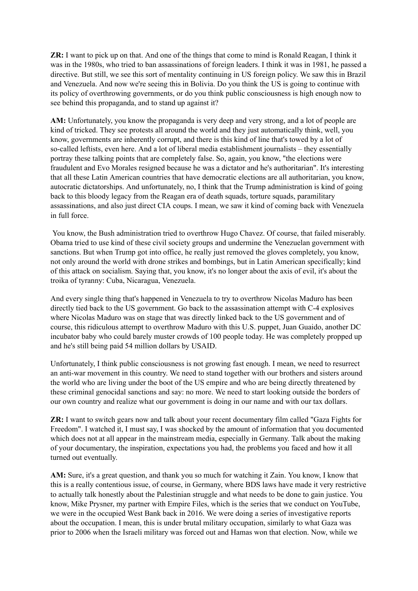**ZR:** I want to pick up on that. And one of the things that come to mind is Ronald Reagan, I think it was in the 1980s, who tried to ban assassinations of foreign leaders. I think it was in 1981, he passed a directive. But still, we see this sort of mentality continuing in US foreign policy. We saw this in Brazil and Venezuela. And now we're seeing this in Bolivia. Do you think the US is going to continue with its policy of overthrowing governments, or do you think public consciousness is high enough now to see behind this propaganda, and to stand up against it?

**AM:** Unfortunately, you know the propaganda is very deep and very strong, and a lot of people are kind of tricked. They see protests all around the world and they just automatically think, well, you know, governments are inherently corrupt, and there is this kind of line that's towed by a lot of so-called leftists, even here. And a lot of liberal media establishment journalists – they essentially portray these talking points that are completely false. So, again, you know, "the elections were fraudulent and Evo Morales resigned because he was a dictator and he's authoritarian". It's interesting that all these Latin American countries that have democratic elections are all authoritarian, you know, autocratic dictatorships. And unfortunately, no, I think that the Trump administration is kind of going back to this bloody legacy from the Reagan era of death squads, torture squads, paramilitary assassinations, and also just direct CIA coups. I mean, we saw it kind of coming back with Venezuela in full force.

You know, the Bush administration tried to overthrow Hugo Chavez. Of course, that failed miserably. Obama tried to use kind of these civil society groups and undermine the Venezuelan government with sanctions. But when Trump got into office, he really just removed the gloves completely, you know, not only around the world with drone strikes and bombings, but in Latin American specifically; kind of this attack on socialism. Saying that, you know, it's no longer about the axis of evil, it's about the troika of tyranny: Cuba, Nicaragua, Venezuela.

And every single thing that's happened in Venezuela to try to overthrow Nicolas Maduro has been directly tied back to the US government. Go back to the assassination attempt with C-4 explosives where Nicolas Maduro was on stage that was directly linked back to the US government and of course, this ridiculous attempt to overthrow Maduro with this U.S. puppet, Juan Guaido, another DC incubator baby who could barely muster crowds of 100 people today. He was completely propped up and he's still being paid 54 million dollars by USAID.

Unfortunately, I think public consciousness is not growing fast enough. I mean, we need to resurrect an anti-war movement in this country. We need to stand together with our brothers and sisters around the world who are living under the boot of the US empire and who are being directly threatened by these criminal genocidal sanctions and say: no more. We need to start looking outside the borders of our own country and realize what our government is doing in our name and with our tax dollars.

**ZR:** I want to switch gears now and talk about your recent documentary film called "Gaza Fights for Freedom". I watched it, I must say, I was shocked by the amount of information that you documented which does not at all appear in the mainstream media, especially in Germany. Talk about the making of your documentary, the inspiration, expectations you had, the problems you faced and how it all turned out eventually.

**AM:** Sure, it's a great question, and thank you so much for watching it Zain. You know, I know that this is a really contentious issue, of course, in Germany, where BDS laws have made it very restrictive to actually talk honestly about the Palestinian struggle and what needs to be done to gain justice. You know, Mike Prysner, my partner with Empire Files, which is the series that we conduct on YouTube, we were in the occupied West Bank back in 2016. We were doing a series of investigative reports about the occupation. I mean, this is under brutal military occupation, similarly to what Gaza was prior to 2006 when the Israeli military was forced out and Hamas won that election. Now, while we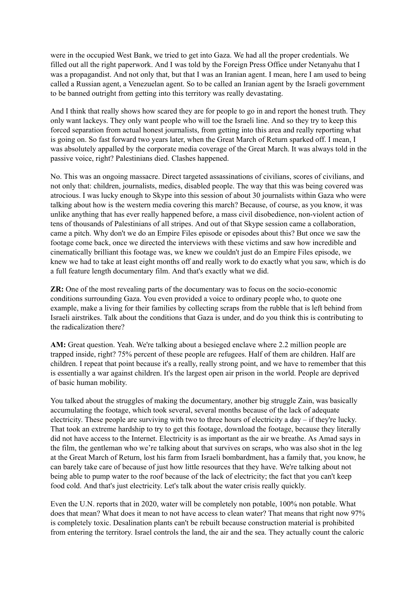were in the occupied West Bank, we tried to get into Gaza. We had all the proper credentials. We filled out all the right paperwork. And I was told by the Foreign Press Office under Netanyahu that I was a propagandist. And not only that, but that I was an Iranian agent. I mean, here I am used to being called a Russian agent, a Venezuelan agent. So to be called an Iranian agent by the Israeli government to be banned outright from getting into this territory was really devastating.

And I think that really shows how scared they are for people to go in and report the honest truth. They only want lackeys. They only want people who will toe the Israeli line. And so they try to keep this forced separation from actual honest journalists, from getting into this area and really reporting what is going on. So fast forward two years later, when the Great March of Return sparked off. I mean, I was absolutely appalled by the corporate media coverage of the Great March. It was always told in the passive voice, right? Palestinians died. Clashes happened.

No. This was an ongoing massacre. Direct targeted assassinations of civilians, scores of civilians, and not only that: children, journalists, medics, disabled people. The way that this was being covered was atrocious. I was lucky enough to Skype into this session of about 30 journalists within Gaza who were talking about how is the western media covering this march? Because, of course, as you know, it was unlike anything that has ever really happened before, a mass civil disobedience, non-violent action of tens of thousands of Palestinians of all stripes. And out of that Skype session came a collaboration, came a pitch. Why don't we do an Empire Files episode or episodes about this? But once we saw the footage come back, once we directed the interviews with these victims and saw how incredible and cinematically brilliant this footage was, we knew we couldn't just do an Empire Files episode, we knew we had to take at least eight months off and really work to do exactly what you saw, which is do a full feature length documentary film. And that's exactly what we did.

**ZR:** One of the most revealing parts of the documentary was to focus on the socio-economic conditions surrounding Gaza. You even provided a voice to ordinary people who, to quote one example, make a living for their families by collecting scraps from the rubble that is left behind from Israeli airstrikes. Talk about the conditions that Gaza is under, and do you think this is contributing to the radicalization there?

**AM:** Great question. Yeah. We're talking about a besieged enclave where 2.2 million people are trapped inside, right? 75% percent of these people are refugees. Half of them are children. Half are children. I repeat that point because it's a really, really strong point, and we have to remember that this is essentially a war against children. It's the largest open air prison in the world. People are deprived of basic human mobility.

You talked about the struggles of making the documentary, another big struggle Zain, was basically accumulating the footage, which took several, several months because of the lack of adequate electricity. These people are surviving with two to three hours of electricity a day – if they're lucky. That took an extreme hardship to try to get this footage, download the footage, because they literally did not have access to the Internet. Electricity is as important as the air we breathe. As Amad says in the film, the gentleman who we're talking about that survives on scraps, who was also shot in the leg at the Great March of Return, lost his farm from Israeli bombardment, has a family that, you know, he can barely take care of because of just how little resources that they have. We're talking about not being able to pump water to the roof because of the lack of electricity; the fact that you can't keep food cold. And that's just electricity. Let's talk about the water crisis really quickly.

Even the U.N. reports that in 2020, water will be completely non potable, 100% non potable. What does that mean? What does it mean to not have access to clean water? That means that right now 97% is completely toxic. Desalination plants can't be rebuilt because construction material is prohibited from entering the territory. Israel controls the land, the air and the sea. They actually count the caloric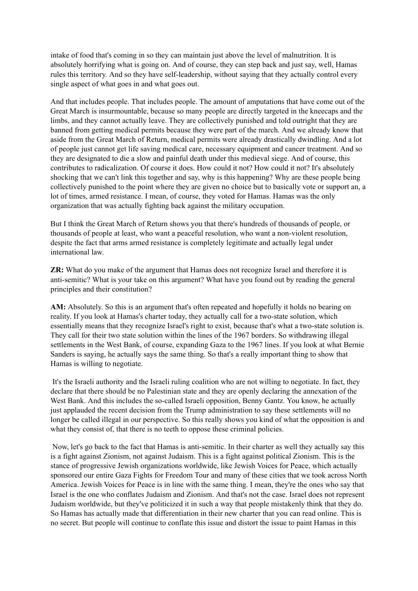intake of food that's coming in so they can maintain just above the level of malnutrition. It is absolutely horrifying what is going on. And of course, they can step back and just say, well, Hamas rules this territory. And so they have self-leadership, without saying that they actually control every single aspect of what goes in and what goes out.

And that includes people. That includes people. The amount of amputations that have come out of the Great March is insurmountable, because so many people are directly targeted in the kneecaps and the limbs, and they cannot actually leave. They are collectively punished and told outright that they are banned from getting medical permits because they were part of the march. And we already know that aside from the Great March of Return, medical permits were already drastically dwindling. And a lot of people just cannot get life saving medical care, necessary equipment and cancer treatment. And so they are designated to die a slow and painful death under this medieval siege. And of course, this contributes to radicalization. Of course it does. How could it not? How could it not? It's absolutely shocking that we can't link this together and say, why is this happening? Why are these people being collectively punished to the point where they are given no choice but to basically vote or support an, a lot of times, armed resistance. I mean, of course, they voted for Hamas. Hamas was the only organization that was actually fighting back against the military occupation.

But I think the Great March of Return shows you that there's hundreds of thousands of people, or thousands of people at least, who want a peaceful resolution, who want a non-violent resolution, despite the fact that arms armed resistance is completely legitimate and actually legal under international law.

**ZR:** What do you make of the argument that Hamas does not recognize Israel and therefore it is anti-semitic? What is your take on this argument? What have you found out by reading the general principles and their constitution?

**AM:** Absolutely. So this is an argument that's often repeated and hopefully it holds no bearing on reality. If you look at Hamas's charter today, they actually call for a two-state solution, which essentially means that they recognize Israel's right to exist, because that's what a two-state solution is. They call for their two state solution within the lines of the 1967 borders. So withdrawing illegal settlements in the West Bank, of course, expanding Gaza to the 1967 lines. If you look at what Bernie Sanders is saying, he actually says the same thing. So that's a really important thing to show that Hamas is willing to negotiate.

It's the Israeli authority and the Israeli ruling coalition who are not willing to negotiate. In fact, they declare that there should be no Palestinian state and they are openly declaring the annexation of the West Bank. And this includes the so-called Israeli opposition, Benny Gantz. You know, he actually just applauded the recent decision from the Trump administration to say these settlements will no longer be called illegal in our perspective. So this really shows you kind of what the opposition is and what they consist of, that there is no teeth to oppose these criminal policies.

Now, let's go back to the fact that Hamas is anti-semitic. In their charter as well they actually say this is a fight against Zionism, not against Judaism. This is a fight against political Zionism. This is the stance of progressive Jewish organizations worldwide, like Jewish Voices for Peace, which actually sponsored our entire Gaza Fights for Freedom Tour and many of these cities that we took across North America. Jewish Voices for Peace is in line with the same thing. I mean, they're the ones who say that Israel is the one who conflates Judaism and Zionism. And that's not the case. Israel does not represent Judaism worldwide, but they've politicized it in such a way that people mistakenly think that they do. So Hamas has actually made that differentiation in their new charter that you can read online. This is no secret. But people will continue to conflate this issue and distort the issue to paint Hamas in this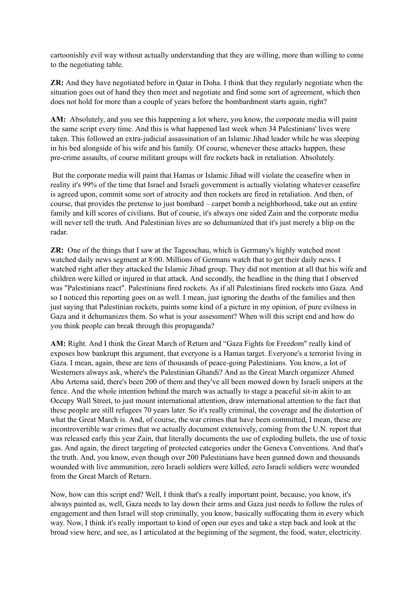cartoonishly evil way without actually understanding that they are willing, more than willing to come to the negotiating table.

**ZR:** And they have negotiated before in Qatar in Doha. I think that they regularly negotiate when the situation goes out of hand they then meet and negotiate and find some sort of agreement, which then does not hold for more than a couple of years before the bombardment starts again, right?

**AM:** Absolutely, and you see this happening a lot where, you know, the corporate media will paint the same script every time. And this is what happened last week when 34 Palestinians' lives were taken. This followed an extra-judicial assassination of an Islamic Jihad leader while he was sleeping in his bed alongside of his wife and his family. Of course, whenever these attacks happen, these pre-crime assaults, of course militant groups will fire rockets back in retaliation. Absolutely.

But the corporate media will paint that Hamas or Islamic Jihad will violate the ceasefire when in reality it's 99% of the time that Israel and Israeli government is actually violating whatever ceasefire is agreed upon, commit some sort of atrocity and then rockets are fired in retaliation. And then, of course, that provides the pretense to just bombard – carpet bomb a neighborhood, take out an entire family and kill scores of civilians. But of course, it's always one sided Zain and the corporate media will never tell the truth. And Palestinian lives are so dehumanized that it's just merely a blip on the radar.

**ZR:** One of the things that I saw at the Tagesschau, which is Germany's highly watched most watched daily news segment at 8:00. Millions of Germans watch that to get their daily news. I watched right after they attacked the Islamic Jihad group. They did not mention at all that his wife and children were killed or injured in that attack. And secondly, the headline in the thing that I observed was "Palestinians react". Palestinians fired rockets. As if all Palestinians fired rockets into Gaza. And so I noticed this reporting goes on as well. I mean, just ignoring the deaths of the families and then just saying that Palestinian rockets, paints some kind of a picture in my opinion, of pure evilness in Gaza and it dehumanizes them. So what is your assessment? When will this script end and how do you think people can break through this propaganda?

**AM:** Right. And I think the Great March of Return and "Gaza Fights for Freedom" really kind of exposes how bankrupt this argument, that everyone is a Hamas target. Everyone's a terrorist living in Gaza. I mean, again, these are tens of thousands of peace-going Palestinians. You know, a lot of Westerners always ask, where's the Palestinian Ghandi? And as the Great March organizer Ahmed Abu Artema said, there's been 200 of them and they've all been mowed down by Israeli snipers at the fence. And the whole intention behind the march was actually to stage a peaceful sit-in akin to an Occupy Wall Street, to just mount international attention, draw international attention to the fact that these people are still refugees 70 years later. So it's really criminal, the coverage and the distortion of what the Great March is. And, of course, the war crimes that have been committed, I mean, these are incontrovertible war crimes that we actually document extensively, coming from the U.N. report that was released early this year Zain, that literally documents the use of exploding bullets, the use of toxic gas. And again, the direct targeting of protected categories under the Geneva Conventions. And that's the truth. And, you know, even though over 200 Palestinians have been gunned down and thousands wounded with live ammunition, zero Israeli soldiers were killed, zero Israeli soldiers were wounded from the Great March of Return.

Now, how can this script end? Well, I think that's a really important point, because, you know, it's always painted as, well, Gaza needs to lay down their arms and Gaza just needs to follow the rules of engagement and then Israel will stop criminally, you know, basically suffocating them in every which way. Now, I think it's really important to kind of open our eyes and take a step back and look at the broad view here, and see, as I articulated at the beginning of the segment, the food, water, electricity.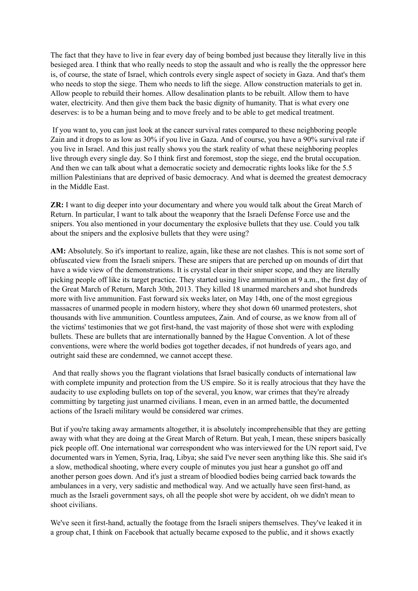The fact that they have to live in fear every day of being bombed just because they literally live in this besieged area. I think that who really needs to stop the assault and who is really the the oppressor here is, of course, the state of Israel, which controls every single aspect of society in Gaza. And that's them who needs to stop the siege. Them who needs to lift the siege. Allow construction materials to get in. Allow people to rebuild their homes. Allow desalination plants to be rebuilt. Allow them to have water, electricity. And then give them back the basic dignity of humanity. That is what every one deserves: is to be a human being and to move freely and to be able to get medical treatment.

If you want to, you can just look at the cancer survival rates compared to these neighboring people Zain and it drops to as low as 30% if you live in Gaza. And of course, you have a 90% survival rate if you live in Israel. And this just really shows you the stark reality of what these neighboring peoples live through every single day. So I think first and foremost, stop the siege, end the brutal occupation. And then we can talk about what a democratic society and democratic rights looks like for the 5.5 million Palestinians that are deprived of basic democracy. And what is deemed the greatest democracy in the Middle East.

**ZR:** I want to dig deeper into your documentary and where you would talk about the Great March of Return. In particular, I want to talk about the weaponry that the Israeli Defense Force use and the snipers. You also mentioned in your documentary the explosive bullets that they use. Could you talk about the snipers and the explosive bullets that they were using?

AM: Absolutely. So it's important to realize, again, like these are not clashes. This is not some sort of obfuscated view from the Israeli snipers. These are snipers that are perched up on mounds of dirt that have a wide view of the demonstrations. It is crystal clear in their sniper scope, and they are literally picking people off like its target practice. They started using live ammunition at 9 a.m., the first day of the Great March of Return, March 30th, 2013. They killed 18 unarmed marchers and shot hundreds more with live ammunition. Fast forward six weeks later, on May 14th, one of the most egregious massacres of unarmed people in modern history, where they shot down 60 unarmed protesters, shot thousands with live ammunition. Countless amputees, Zain. And of course, as we know from all of the victims' testimonies that we got first-hand, the vast majority of those shot were with exploding bullets. These are bullets that are internationally banned by the Hague Convention. A lot of these conventions, were where the world bodies got together decades, if not hundreds of years ago, and outright said these are condemned, we cannot accept these.

And that really shows you the flagrant violations that Israel basically conducts of international law with complete impunity and protection from the US empire. So it is really atrocious that they have the audacity to use exploding bullets on top of the several, you know, war crimes that they're already committing by targeting just unarmed civilians. I mean, even in an armed battle, the documented actions of the Israeli military would be considered war crimes.

But if you're taking away armaments altogether, it is absolutely incomprehensible that they are getting away with what they are doing at the Great March of Return. But yeah, I mean, these snipers basically pick people off. One international war correspondent who was interviewed for the UN report said, I've documented wars in Yemen, Syria, Iraq, Libya; she said I've never seen anything like this. She said it's a slow, methodical shooting, where every couple of minutes you just hear a gunshot go off and another person goes down. And it's just a stream of bloodied bodies being carried back towards the ambulances in a very, very sadistic and methodical way. And we actually have seen first-hand, as much as the Israeli government says, oh all the people shot were by accident, oh we didn't mean to shoot civilians.

We've seen it first-hand, actually the footage from the Israeli snipers themselves. They've leaked it in a group chat, I think on Facebook that actually became exposed to the public, and it shows exactly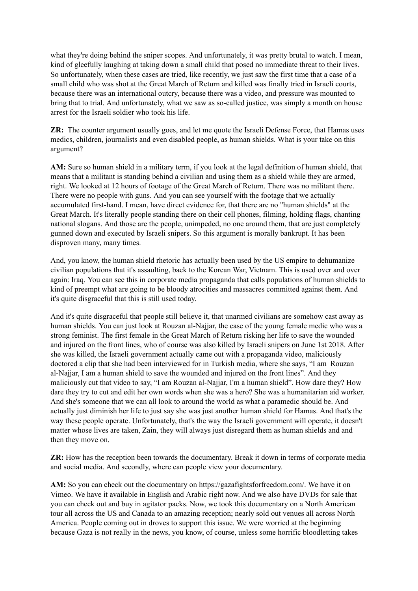what they're doing behind the sniper scopes. And unfortunately, it was pretty brutal to watch. I mean, kind of gleefully laughing at taking down a small child that posed no immediate threat to their lives. So unfortunately, when these cases are tried, like recently, we just saw the first time that a case of a small child who was shot at the Great March of Return and killed was finally tried in Israeli courts, because there was an international outcry, because there was a video, and pressure was mounted to bring that to trial. And unfortunately, what we saw as so-called justice, was simply a month on house arrest for the Israeli soldier who took his life.

**ZR:** The counter argument usually goes, and let me quote the Israeli Defense Force, that Hamas uses medics, children, journalists and even disabled people, as human shields. What is your take on this argument?

**AM:** Sure so human shield in a military term, if you look at the legal definition of human shield, that means that a militant is standing behind a civilian and using them as a shield while they are armed, right. We looked at 12 hours of footage of the Great March of Return. There was no militant there. There were no people with guns. And you can see yourself with the footage that we actually accumulated first-hand. I mean, have direct evidence for, that there are no "human shields" at the Great March. It's literally people standing there on their cell phones, filming, holding flags, chanting national slogans. And those are the people, unimpeded, no one around them, that are just completely gunned down and executed by Israeli snipers. So this argument is morally bankrupt. It has been disproven many, many times.

And, you know, the human shield rhetoric has actually been used by the US empire to dehumanize civilian populations that it's assaulting, back to the Korean War, Vietnam. This is used over and over again: Iraq. You can see this in corporate media propaganda that calls populations of human shields to kind of preempt what are going to be bloody atrocities and massacres committed against them. And it's quite disgraceful that this is still used today.

And it's quite disgraceful that people still believe it, that unarmed civilians are somehow cast away as human shields. You can just look at Rouzan al-Najjar, the case of the young female medic who was a strong feminist. The first female in the Great March of Return risking her life to save the wounded and injured on the front lines, who of course was also killed by Israeli snipers on June 1st 2018. After she was killed, the Israeli government actually came out with a propaganda video, maliciously doctored a clip that she had been interviewed for in Turkish media, where she says, "I am Rouzan al-Najjar, I am a human shield to save the wounded and injured on the front lines". And they maliciously cut that video to say, "I am Rouzan al-Najjar, I'm a human shield". How dare they? How dare they try to cut and edit her own words when she was a hero? She was a humanitarian aid worker. And she's someone that we can all look to around the world as what a paramedic should be. And actually just diminish her life to just say she was just another human shield for Hamas. And that's the way these people operate. Unfortunately, that's the way the Israeli government will operate, it doesn't matter whose lives are taken, Zain, they will always just disregard them as human shields and and then they move on.

**ZR:** How has the reception been towards the documentary. Break it down in terms of corporate media and social media. And secondly, where can people view your documentary.

**AM:** So you can check out the documentary on https://gazafightsforfreedom.com/. We have it on Vimeo. We have it available in English and Arabic right now. And we also have DVDs for sale that you can check out and buy in agitator packs. Now, we took this documentary on a North American tour all across the US and Canada to an amazing reception; nearly sold out venues all across North America. People coming out in droves to support this issue. We were worried at the beginning because Gaza is not really in the news, you know, of course, unless some horrific bloodletting takes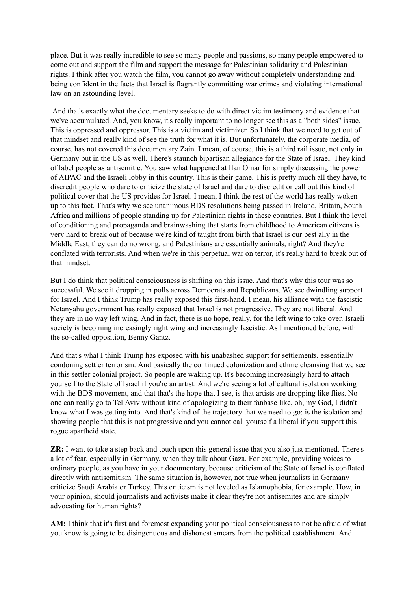place. But it was really incredible to see so many people and passions, so many people empowered to come out and support the film and support the message for Palestinian solidarity and Palestinian rights. I think after you watch the film, you cannot go away without completely understanding and being confident in the facts that Israel is flagrantly committing war crimes and violating international law on an astounding level.

And that's exactly what the documentary seeks to do with direct victim testimony and evidence that we've accumulated. And, you know, it's really important to no longer see this as a "both sides" issue. This is oppressed and oppressor. This is a victim and victimizer. So I think that we need to get out of that mindset and really kind of see the truth for what it is. But unfortunately, the corporate media, of course, has not covered this documentary Zain. I mean, of course, this is a third rail issue, not only in Germany but in the US as well. There's staunch bipartisan allegiance for the State of Israel. They kind of label people as antisemitic. You saw what happened at Ilan Omar for simply discussing the power of AIPAC and the Israeli lobby in this country. This is their game. This is pretty much all they have, to discredit people who dare to criticize the state of Israel and dare to discredit or call out this kind of political cover that the US provides for Israel. I mean, I think the rest of the world has really woken up to this fact. That's why we see unanimous BDS resolutions being passed in Ireland, Britain, South Africa and millions of people standing up for Palestinian rights in these countries. But I think the level of conditioning and propaganda and brainwashing that starts from childhood to American citizens is very hard to break out of because we're kind of taught from birth that Israel is our best ally in the Middle East, they can do no wrong, and Palestinians are essentially animals, right? And they're conflated with terrorists. And when we're in this perpetual war on terror, it's really hard to break out of that mindset.

But I do think that political consciousness is shifting on this issue. And that's why this tour was so successful. We see it dropping in polls across Democrats and Republicans. We see dwindling support for Israel. And I think Trump has really exposed this first-hand. I mean, his alliance with the fascistic Netanyahu government has really exposed that Israel is not progressive. They are not liberal. And they are in no way left wing. And in fact, there is no hope, really, for the left wing to take over. Israeli society is becoming increasingly right wing and increasingly fascistic. As I mentioned before, with the so-called opposition, Benny Gantz.

And that's what I think Trump has exposed with his unabashed support for settlements, essentially condoning settler terrorism. And basically the continued colonization and ethnic cleansing that we see in this settler colonial project. So people are waking up. It's becoming increasingly hard to attach yourself to the State of Israel if you're an artist. And we're seeing a lot of cultural isolation working with the BDS movement, and that that's the hope that I see, is that artists are dropping like flies. No one can really go to Tel Aviv without kind of apologizing to their fanbase like, oh, my God, I didn't know what I was getting into. And that's kind of the trajectory that we need to go: is the isolation and showing people that this is not progressive and you cannot call yourself a liberal if you support this rogue apartheid state.

**ZR:** I want to take a step back and touch upon this general issue that you also just mentioned. There's a lot of fear, especially in Germany, when they talk about Gaza. For example, providing voices to ordinary people, as you have in your documentary, because criticism of the State of Israel is conflated directly with antisemitism. The same situation is, however, not true when journalists in Germany criticize Saudi Arabia or Turkey. This criticism is not leveled as Islamophobia, for example. How, in your opinion, should journalists and activists make it clear they're not antisemites and are simply advocating for human rights?

**AM:** I think that it's first and foremost expanding your political consciousness to not be afraid of what you know is going to be disingenuous and dishonest smears from the political establishment. And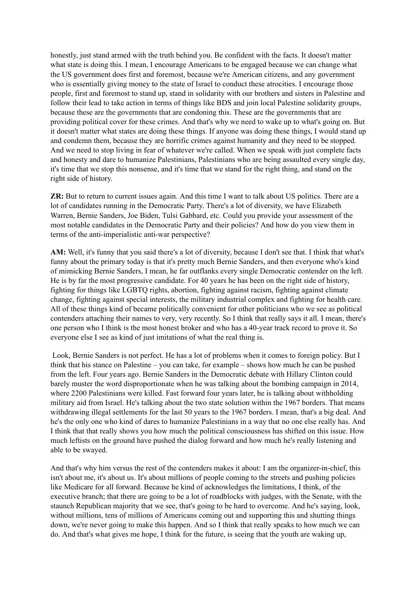honestly, just stand armed with the truth behind you. Be confident with the facts. It doesn't matter what state is doing this. I mean, I encourage Americans to be engaged because we can change what the US government does first and foremost, because we're American citizens, and any government who is essentially giving money to the state of Israel to conduct these atrocities. I encourage those people, first and foremost to stand up, stand in solidarity with our brothers and sisters in Palestine and follow their lead to take action in terms of things like BDS and join local Palestine solidarity groups, because these are the governments that are condoning this. These are the governments that are providing political cover for these crimes. And that's why we need to wake up to what's going on. But it doesn't matter what states are doing these things. If anyone was doing these things, I would stand up and condemn them, because they are horrific crimes against humanity and they need to be stopped. And we need to stop living in fear of whatever we're called. When we speak with just complete facts and honesty and dare to humanize Palestinians, Palestinians who are being assaulted every single day, it's time that we stop this nonsense, and it's time that we stand for the right thing, and stand on the right side of history.

**ZR:** But to return to current issues again. And this time I want to talk about US politics. There are a lot of candidates running in the Democratic Party. There's a lot of diversity, we have Elizabeth Warren, Bernie Sanders, Joe Biden, Tulsi Gabbard, etc. Could you provide your assessment of the most notable candidates in the Democratic Party and their policies? And how do you view them in terms of the anti-imperialistic anti-war perspective?

**AM:** Well, it's funny that you said there's a lot of diversity, because I don't see that. I think that what's funny about the primary today is that it's pretty much Bernie Sanders, and then everyone who's kind of mimicking Bernie Sanders, I mean, he far outflanks every single Democratic contender on the left. He is by far the most progressive candidate. For 40 years he has been on the right side of history, fighting for things like LGBTQ rights, abortion, fighting against racism, fighting against climate change, fighting against special interests, the military industrial complex and fighting for health care. All of these things kind of became politically convenient for other politicians who we see as political contenders attaching their names to very, very recently. So I think that really says it all. I mean, there's one person who I think is the most honest broker and who has a 40-year track record to prove it. So everyone else I see as kind of just imitations of what the real thing is.

Look, Bernie Sanders is not perfect. He has a lot of problems when it comes to foreign policy. But I think that his stance on Palestine – you can take, for example – shows how much he can be pushed from the left. Four years ago. Bernie Sanders in the Democratic debate with Hillary Clinton could barely muster the word disproportionate when he was talking about the bombing campaign in 2014, where 2200 Palestinians were killed. Fast forward four years later, he is talking about withholding military aid from Israel. He's talking about the two state solution within the 1967 borders. That means withdrawing illegal settlements for the last 50 years to the 1967 borders. I mean, that's a big deal. And he's the only one who kind of dares to humanize Palestinians in a way that no one else really has. And I think that that really shows you how much the political consciousness has shifted on this issue. How much leftists on the ground have pushed the dialog forward and how much he's really listening and able to be swayed.

And that's why him versus the rest of the contenders makes it about: I am the organizer-in-chief, this isn't about me, it's about us. It's about millions of people coming to the streets and pushing policies like Medicare for all forward. Because he kind of acknowledges the limitations, I think, of the executive branch; that there are going to be a lot of roadblocks with judges, with the Senate, with the staunch Republican majority that we see, that's going to be hard to overcome. And he's saying, look, without millions, tens of millions of Americans coming out and supporting this and shutting things down, we're never going to make this happen. And so I think that really speaks to how much we can do. And that's what gives me hope, I think for the future, is seeing that the youth are waking up,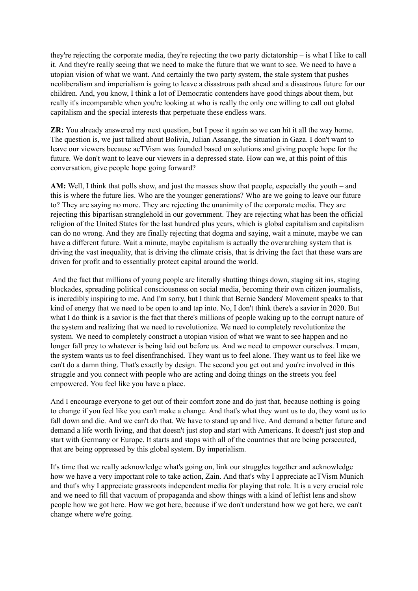they're rejecting the corporate media, they're rejecting the two party dictatorship – is what I like to call it. And they're really seeing that we need to make the future that we want to see. We need to have a utopian vision of what we want. And certainly the two party system, the stale system that pushes neoliberalism and imperialism is going to leave a disastrous path ahead and a disastrous future for our children. And, you know, I think a lot of Democratic contenders have good things about them, but really it's incomparable when you're looking at who is really the only one willing to call out global capitalism and the special interests that perpetuate these endless wars.

**ZR:** You already answered my next question, but I pose it again so we can hit it all the way home. The question is, we just talked about Bolivia, Julian Assange, the situation in Gaza. I don't want to leave our viewers because acTVism was founded based on solutions and giving people hope for the future. We don't want to leave our viewers in a depressed state. How can we, at this point of this conversation, give people hope going forward?

**AM:** Well, I think that polls show, and just the masses show that people, especially the youth – and this is where the future lies. Who are the younger generations? Who are we going to leave our future to? They are saying no more. They are rejecting the unanimity of the corporate media. They are rejecting this bipartisan stranglehold in our government. They are rejecting what has been the official religion of the United States for the last hundred plus years, which is global capitalism and capitalism can do no wrong. And they are finally rejecting that dogma and saying, wait a minute, maybe we can have a different future. Wait a minute, maybe capitalism is actually the overarching system that is driving the vast inequality, that is driving the climate crisis, that is driving the fact that these wars are driven for profit and to essentially protect capital around the world.

And the fact that millions of young people are literally shutting things down, staging sit ins, staging blockades, spreading political consciousness on social media, becoming their own citizen journalists, is incredibly inspiring to me. And I'm sorry, but I think that Bernie Sanders' Movement speaks to that kind of energy that we need to be open to and tap into. No, I don't think there's a savior in 2020. But what I do think is a savior is the fact that there's millions of people waking up to the corrupt nature of the system and realizing that we need to revolutionize. We need to completely revolutionize the system. We need to completely construct a utopian vision of what we want to see happen and no longer fall prey to whatever is being laid out before us. And we need to empower ourselves. I mean, the system wants us to feel disenfranchised. They want us to feel alone. They want us to feel like we can't do a damn thing. That's exactly by design. The second you get out and you're involved in this struggle and you connect with people who are acting and doing things on the streets you feel empowered. You feel like you have a place.

And I encourage everyone to get out of their comfort zone and do just that, because nothing is going to change if you feel like you can't make a change. And that's what they want us to do, they want us to fall down and die. And we can't do that. We have to stand up and live. And demand a better future and demand a life worth living, and that doesn't just stop and start with Americans. It doesn't just stop and start with Germany or Europe. It starts and stops with all of the countries that are being persecuted, that are being oppressed by this global system. By imperialism.

It's time that we really acknowledge what's going on, link our struggles together and acknowledge how we have a very important role to take action, Zain. And that's why I appreciate acTVism Munich and that's why I appreciate grassroots independent media for playing that role. It is a very crucial role and we need to fill that vacuum of propaganda and show things with a kind of leftist lens and show people how we got here. How we got here, because if we don't understand how we got here, we can't change where we're going.